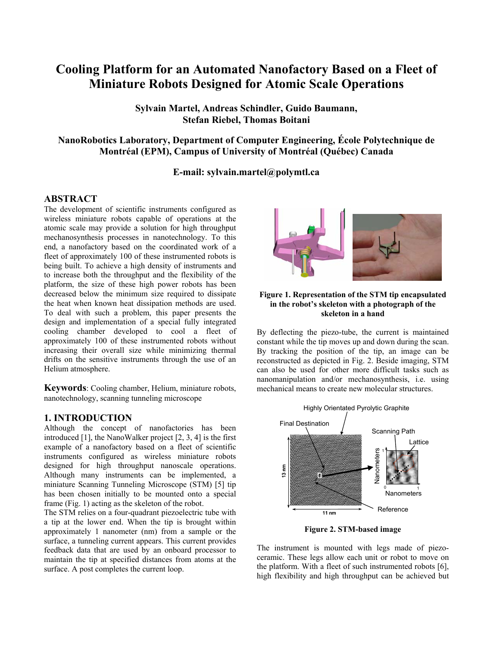# **Cooling Platform for an Automated Nanofactory Based on a Fleet of Miniature Robots Designed for Atomic Scale Operations**

**Sylvain Martel, Andreas Schindler, Guido Baumann, Stefan Riebel, Thomas Boitani**

**NanoRobotics Laboratory, Department of Computer Engineering, École Polytechnique de Montréal (EPM), Campus of University of Montréal (Québec) Canada** 

**E-mail: sylvain.martel@polymtl.ca**

#### **ABSTRACT**

The development of scientific instruments configured as wireless miniature robots capable of operations at the atomic scale may provide a solution for high throughput mechanosynthesis processes in nanotechnology. To this end, a nanofactory based on the coordinated work of a fleet of approximately 100 of these instrumented robots is being built. To achieve a high density of instruments and to increase both the throughput and the flexibility of the platform, the size of these high power robots has been decreased below the minimum size required to dissipate the heat when known heat dissipation methods are used. To deal with such a problem, this paper presents the design and implementation of a special fully integrated cooling chamber developed to cool a fleet of approximately 100 of these instrumented robots without increasing their overall size while minimizing thermal drifts on the sensitive instruments through the use of an Helium atmosphere.

**Keywords**: Cooling chamber, Helium, miniature robots, nanotechnology, scanning tunneling microscope

# **1. INTRODUCTION**

Although the concept of nanofactories has been introduced [1], the NanoWalker project [2, 3, 4] is the first example of a nanofactory based on a fleet of scientific instruments configured as wireless miniature robots designed for high throughput nanoscale operations. Although many instruments can be implemented, a miniature Scanning Tunneling Microscope (STM) [5] tip has been chosen initially to be mounted onto a special frame (Fig. 1) acting as the skeleton of the robot.

The STM relies on a four-quadrant piezoelectric tube with a tip at the lower end. When the tip is brought within approximately 1 nanometer (nm) from a sample or the surface, a tunneling current appears. This current provides feedback data that are used by an onboard processor to maintain the tip at specified distances from atoms at the surface. A post completes the current loop.



#### **Figure 1. Representation of the STM tip encapsulated in the robot's skeleton with a photograph of the skeleton in a hand**

By deflecting the piezo-tube, the current is maintained constant while the tip moves up and down during the scan. By tracking the position of the tip, an image can be reconstructed as depicted in Fig. 2. Beside imaging, STM can also be used for other more difficult tasks such as nanomanipulation and/or mechanosynthesis, i.e. using mechanical means to create new molecular structures.



**Figure 2. STM-based image** 

The instrument is mounted with legs made of piezoceramic. These legs allow each unit or robot to move on the platform. With a fleet of such instrumented robots [6], high flexibility and high throughput can be achieved but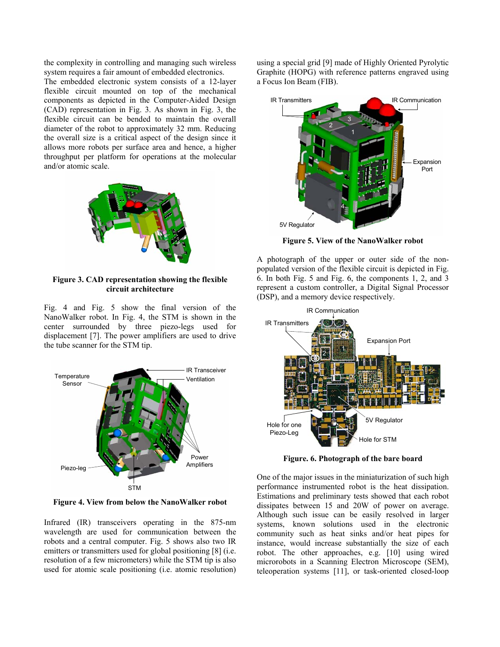the complexity in controlling and managing such wireless system requires a fair amount of embedded electronics.

The embedded electronic system consists of a 12-layer flexible circuit mounted on top of the mechanical components as depicted in the Computer-Aided Design (CAD) representation in Fig. 3. As shown in Fig. 3, the flexible circuit can be bended to maintain the overall diameter of the robot to approximately 32 mm. Reducing the overall size is a critical aspect of the design since it allows more robots per surface area and hence, a higher throughput per platform for operations at the molecular and/or atomic scale.



**Figure 3. CAD representation showing the flexible circuit architecture** 

Fig. 4 and Fig. 5 show the final version of the NanoWalker robot. In Fig. 4, the STM is shown in the center surrounded by three piezo-legs used for displacement [7]. The power amplifiers are used to drive the tube scanner for the STM tip.



**Figure 4. View from below the NanoWalker robot** 

Infrared (IR) transceivers operating in the 875-nm wavelength are used for communication between the robots and a central computer. Fig. 5 shows also two IR emitters or transmitters used for global positioning [8] (i.e. resolution of a few micrometers) while the STM tip is also used for atomic scale positioning (i.e. atomic resolution) using a special grid [9] made of Highly Oriented Pyrolytic Graphite (HOPG) with reference patterns engraved using a Focus Ion Beam (FIB).



**Figure 5. View of the NanoWalker robot** 

A photograph of the upper or outer side of the nonpopulated version of the flexible circuit is depicted in Fig. 6. In both Fig. 5 and Fig. 6, the components 1, 2, and 3 represent a custom controller, a Digital Signal Processor (DSP), and a memory device respectively.



**Figure. 6. Photograph of the bare board** 

One of the major issues in the miniaturization of such high performance instrumented robot is the heat dissipation. Estimations and preliminary tests showed that each robot dissipates between 15 and 20W of power on average. Although such issue can be easily resolved in larger systems, known solutions used in the electronic community such as heat sinks and/or heat pipes for instance, would increase substantially the size of each robot. The other approaches, e.g. [10] using wired microrobots in a Scanning Electron Microscope (SEM), teleoperation systems [11], or task-oriented closed-loop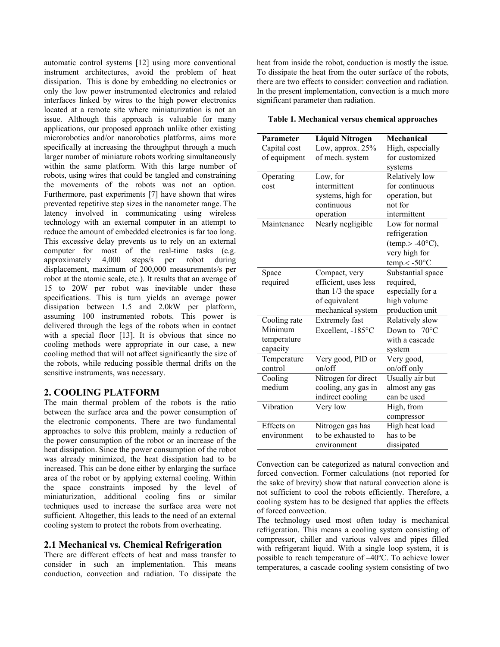automatic control systems [12] using more conventional instrument architectures, avoid the problem of heat dissipation. This is done by embedding no electronics or only the low power instrumented electronics and related interfaces linked by wires to the high power electronics located at a remote site where miniaturization is not an issue. Although this approach is valuable for many applications, our proposed approach unlike other existing microrobotics and/or nanorobotics platforms, aims more specifically at increasing the throughput through a much larger number of miniature robots working simultaneously within the same platform. With this large number of robots, using wires that could be tangled and constraining the movements of the robots was not an option. Furthermore, past experiments [7] have shown that wires prevented repetitive step sizes in the nanometer range. The latency involved in communicating using wireless technology with an external computer in an attempt to reduce the amount of embedded electronics is far too long. This excessive delay prevents us to rely on an external computer for most of the real-time tasks (e.g. approximately 4,000 steps/s per robot during displacement, maximum of 200,000 measurements/s per robot at the atomic scale, etc.). It results that an average of 15 to 20W per robot was inevitable under these specifications. This is turn yields an average power dissipation between 1.5 and 2.0kW per platform, assuming 100 instrumented robots. This power is delivered through the legs of the robots when in contact with a special floor [13]. It is obvious that since no cooling methods were appropriate in our case, a new cooling method that will not affect significantly the size of the robots, while reducing possible thermal drifts on the sensitive instruments, was necessary.

# **2. COOLING PLATFORM**

The main thermal problem of the robots is the ratio between the surface area and the power consumption of the electronic components. There are two fundamental approaches to solve this problem, mainly a reduction of the power consumption of the robot or an increase of the heat dissipation. Since the power consumption of the robot was already minimized, the heat dissipation had to be increased. This can be done either by enlarging the surface area of the robot or by applying external cooling. Within the space constraints imposed by the level of miniaturization, additional cooling fins or similar techniques used to increase the surface area were not sufficient. Altogether, this leads to the need of an external cooling system to protect the robots from overheating.

#### **2.1 Mechanical vs. Chemical Refrigeration**

There are different effects of heat and mass transfer to consider in such an implementation. This means conduction, convection and radiation. To dissipate the

heat from inside the robot, conduction is mostly the issue. To dissipate the heat from the outer surface of the robots, there are two effects to consider: convection and radiation. In the present implementation, convection is a much more significant parameter than radiation.

#### **Table 1. Mechanical versus chemical approaches**

| Parameter    | <b>Liquid Nitrogen</b> | Mechanical                              |
|--------------|------------------------|-----------------------------------------|
| Capital cost | Low, approx. 25%       | High, especially                        |
|              | of mech. system        | for customized                          |
| of equipment |                        |                                         |
|              |                        | systems                                 |
| Operating    | Low, for               | Relatively low                          |
| cost         | intermittent           | for continuous                          |
|              | systems, high for      | operation, but                          |
|              | continuous             | not for                                 |
|              | operation              | intermittent                            |
| Maintenance  | Nearly negligible      | Low for normal                          |
|              |                        | refrigeration                           |
|              |                        | $(\text{temp.} > -40^{\circ}\text{C}),$ |
|              |                        | very high for                           |
|              |                        | $temp. < -50°C$                         |
| Space        | Compact, very          | Substantial space                       |
| required     | efficient, uses less   | required,                               |
|              | than 1/3 the space     | especially for a                        |
|              | of equivalent          | high volume                             |
|              | mechanical system      | production unit                         |
| Cooling rate | <b>Extremely</b> fast  | Relatively slow                         |
| Minimum      | Excellent, -185°C      | Down to $-70^{\circ}$ C                 |
| temperature  |                        | with a cascade                          |
| capacity     |                        | system                                  |
| Temperature  | Very good, PID or      | Very good,                              |
| control      | on/off                 | on/off only                             |
| Cooling      | Nitrogen for direct    | Usually air but                         |
| medium       | cooling, any gas in    | almost any gas                          |
|              | indirect cooling       | can be used                             |
| Vibration    | Very low               | High, from                              |
|              |                        | compressor                              |
| Effects on   | Nitrogen gas has       | High heat load                          |
| environment  | to be exhausted to     | has to be                               |
|              | environment            | dissipated                              |

Convection can be categorized as natural convection and forced convection. Former calculations (not reported for the sake of brevity) show that natural convection alone is not sufficient to cool the robots efficiently. Therefore, a cooling system has to be designed that applies the effects of forced convection.

The technology used most often today is mechanical refrigeration. This means a cooling system consisting of compressor, chiller and various valves and pipes filled with refrigerant liquid. With a single loop system, it is possible to reach temperature of –40ºC. To achieve lower temperatures, a cascade cooling system consisting of two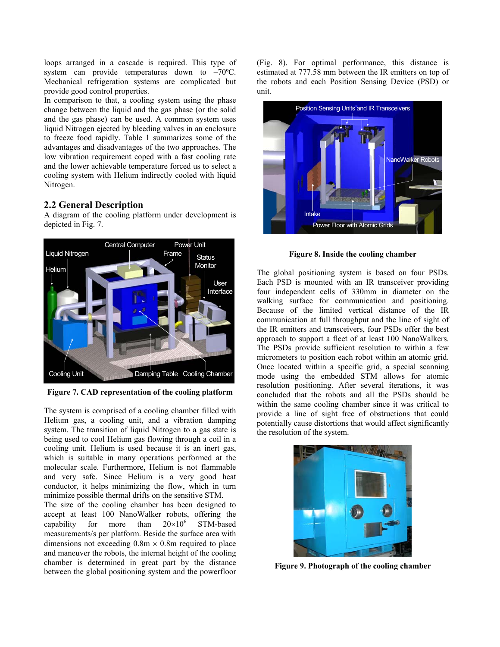loops arranged in a cascade is required. This type of system can provide temperatures down to –70ºC. Mechanical refrigeration systems are complicated but provide good control properties.

In comparison to that, a cooling system using the phase change between the liquid and the gas phase (or the solid and the gas phase) can be used. A common system uses liquid Nitrogen ejected by bleeding valves in an enclosure to freeze food rapidly. Table 1 summarizes some of the advantages and disadvantages of the two approaches. The low vibration requirement coped with a fast cooling rate and the lower achievable temperature forced us to select a cooling system with Helium indirectly cooled with liquid Nitrogen.

# **2.2 General Description**

A diagram of the cooling platform under development is depicted in Fig. 7.



**Figure 7. CAD representation of the cooling platform** 

The system is comprised of a cooling chamber filled with Helium gas, a cooling unit, and a vibration damping system. The transition of liquid Nitrogen to a gas state is being used to cool Helium gas flowing through a coil in a cooling unit. Helium is used because it is an inert gas, which is suitable in many operations performed at the molecular scale. Furthermore, Helium is not flammable and very safe. Since Helium is a very good heat conductor, it helps minimizing the flow, which in turn minimize possible thermal drifts on the sensitive STM.

The size of the cooling chamber has been designed to accept at least 100 NanoWalker robots, offering the capability for more than  $20\times10^6$  STM-based measurements/s per platform. Beside the surface area with dimensions not exceeding  $0.8m \times 0.8m$  required to place and maneuver the robots, the internal height of the cooling chamber is determined in great part by the distance between the global positioning system and the powerfloor (Fig. 8). For optimal performance, this distance is estimated at 777.58 mm between the IR emitters on top of the robots and each Position Sensing Device (PSD) or unit.



**Figure 8. Inside the cooling chamber** 

The global positioning system is based on four PSDs. Each PSD is mounted with an IR transceiver providing four independent cells of 330mm in diameter on the walking surface for communication and positioning. Because of the limited vertical distance of the IR communication at full throughput and the line of sight of the IR emitters and transceivers, four PSDs offer the best approach to support a fleet of at least 100 NanoWalkers. The PSDs provide sufficient resolution to within a few micrometers to position each robot within an atomic grid. Once located within a specific grid, a special scanning mode using the embedded STM allows for atomic resolution positioning. After several iterations, it was concluded that the robots and all the PSDs should be within the same cooling chamber since it was critical to provide a line of sight free of obstructions that could potentially cause distortions that would affect significantly the resolution of the system.



**Figure 9. Photograph of the cooling chamber**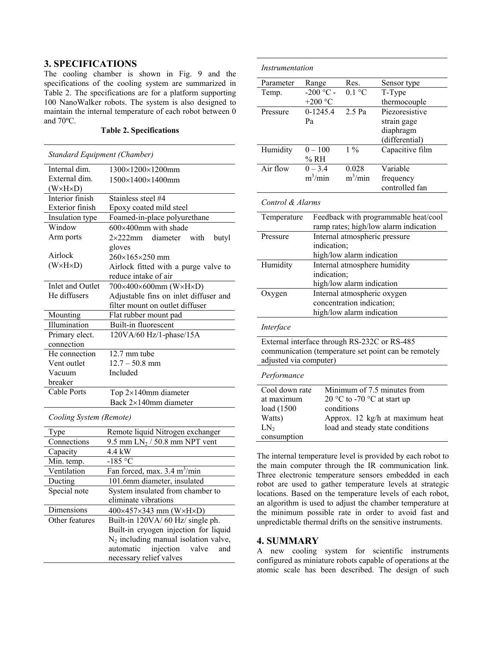# **3. SPECIFICATIONS**

The cooling chamber is shown in Fig. 9 and the specifications of the cooling system are summarized in Table 2. The specifications are for a platform supporting 100 NanoWalker robots. The system is also designed to maintain the internal temperature of each robot between 0 and 70ºC.

#### **Table 2. Specifications**

| Standard Equipment (Chamber) |                                                      |  |  |  |
|------------------------------|------------------------------------------------------|--|--|--|
| Internal dim.                | $1300\times1200\times1200$ mm                        |  |  |  |
| External dim.                | $1500\times1400\times1400$ mm                        |  |  |  |
| (W×H×D)                      |                                                      |  |  |  |
| Interior finish              | Stainless steel #4                                   |  |  |  |
| <b>Exterior</b> finish       | Epoxy coated mild steel                              |  |  |  |
| Insulation type              | Foamed-in-place polyurethane                         |  |  |  |
| Window                       | $600\times400$ mm with shade                         |  |  |  |
| Arm ports                    | $2\times222$ mm diameter with<br>butyl               |  |  |  |
|                              | gloves                                               |  |  |  |
| Airlock                      | 260×165×250 mm                                       |  |  |  |
| $(W \times H \times D)$      | Airlock fitted with a purge valve to                 |  |  |  |
|                              | reduce intake of air                                 |  |  |  |
| Inlet and Outlet             | 700×400×600mm (W×H×D)                                |  |  |  |
| He diffusers                 | Adjustable fins on inlet diffuser and                |  |  |  |
|                              | filter mount on outlet diffuser                      |  |  |  |
| Mounting                     | Flat rubber mount pad                                |  |  |  |
| Illumination                 | Built-in fluorescent                                 |  |  |  |
| Primary elect.               | 120VA/60 Hz/1-phase/15A                              |  |  |  |
| connection                   |                                                      |  |  |  |
| He connection                | 12.7 mm tube                                         |  |  |  |
| Vent outlet                  | $12.7 - 50.8$ mm                                     |  |  |  |
| Vacuum                       | Included                                             |  |  |  |
| breaker                      |                                                      |  |  |  |
| <b>Cable Ports</b>           | Top $2\times140$ mm diameter                         |  |  |  |
|                              | Back $2\times140$ mm diameter                        |  |  |  |
| Cooling System (Remote)      |                                                      |  |  |  |
| Type                         | Remote liquid Nitrogen exchanger                     |  |  |  |
| Connections                  | 9.5 mm $LN_2 / 50.8$ mm NPT vent                     |  |  |  |
| Capacity                     | $\overline{4}$ .4 kW                                 |  |  |  |
| Min. temp.                   | $-185$ °C                                            |  |  |  |
| Ventilation                  | Fan forced, max. 3.4 m <sup>3</sup> /min             |  |  |  |
| Ducting                      | 101.6mm diameter, insulated                          |  |  |  |
| Special note                 | System insulated from chamber to                     |  |  |  |
|                              | eliminate vibrations                                 |  |  |  |
| Dimensions                   | $400\times457\times343$ mm (W $\times$ H $\times$ D) |  |  |  |
| Other features               | Built-in 120VA/60 Hz/ single ph.                     |  |  |  |
|                              | Built-in cryogen injection for liquid                |  |  |  |
|                              | $N_2$ including manual isolation valve,              |  |  |  |
|                              | injection<br>valve<br>automatic<br>and               |  |  |  |
|                              | necessary relief valves                              |  |  |  |

| Instrumentation                                                                              |                   |                               |                                                      |  |
|----------------------------------------------------------------------------------------------|-------------------|-------------------------------|------------------------------------------------------|--|
| Parameter                                                                                    | Range             | Res.                          | Sensor type                                          |  |
| Temp.                                                                                        | $-200 °C -$       | $0.1 \degree C$               | $\overline{T-T}$ ype                                 |  |
|                                                                                              | +200 $\degree$ C  |                               | thermocouple                                         |  |
| Pressure                                                                                     | $0-1245.4$        | $2.5$ Pa                      | Piezoresistive                                       |  |
|                                                                                              | Pa                |                               | strain gage                                          |  |
|                                                                                              |                   |                               | diaphragm                                            |  |
|                                                                                              |                   |                               | (differential)                                       |  |
| Humidity                                                                                     | $0 - 100$<br>% RH | $\frac{1}{2}$                 | Capacitive film                                      |  |
| Air flow                                                                                     | $0 - 3.4$         | 0.028                         | Variable                                             |  |
|                                                                                              | $m^3/m$ in        | $m^3/m$ in                    | frequency                                            |  |
|                                                                                              |                   |                               | controlled fan                                       |  |
| Control & Alarms                                                                             |                   |                               |                                                      |  |
| Feedback with programmable heat/cool<br>Temperature<br>ramp rates; high/low alarm indication |                   |                               |                                                      |  |
| Pressure                                                                                     |                   | Internal atmospheric pressure |                                                      |  |
| indication;                                                                                  |                   |                               |                                                      |  |
|                                                                                              |                   | high/low alarm indication     |                                                      |  |
| Humidity                                                                                     |                   | Internal atmosphere humidity  |                                                      |  |
|                                                                                              | indication;       |                               |                                                      |  |
|                                                                                              |                   | high/low alarm indication     |                                                      |  |
| Oxygen                                                                                       |                   | Internal atmospheric oxygen   |                                                      |  |
|                                                                                              |                   | concentration indication;     |                                                      |  |
|                                                                                              |                   | high/low alarm indication     |                                                      |  |
| Interface                                                                                    |                   |                               |                                                      |  |
|                                                                                              |                   |                               | External interface through RS-232C or RS-485         |  |
|                                                                                              |                   |                               | communication (temperature set point can be remotely |  |
| adjusted via computer)                                                                       |                   |                               |                                                      |  |
| Performance                                                                                  |                   |                               |                                                      |  |
| Cool down rate                                                                               |                   |                               | Minimum of 7.5 minutes from                          |  |
| at maximum                                                                                   |                   |                               | 20 °C to -70 °C at start up                          |  |
| load (1500                                                                                   |                   | conditions                    |                                                      |  |
|                                                                                              |                   |                               |                                                      |  |
| Watts)                                                                                       |                   |                               | Approx. 12 kg/h at maximum heat                      |  |
| LN <sub>2</sub><br>consumption                                                               |                   |                               | load and steady state conditions                     |  |

The internal temperature level is provided by each robot to the main computer through the IR communication link. Three electronic temperature sensors embedded in each robot are used to gather temperature levels at strategic locations. Based on the temperature levels of each robot, an algorithm is used to adjust the chamber temperature at the minimum possible rate in order to avoid fast and unpredictable thermal drifts on the sensitive instruments.

#### **4. SUMMARY**

A new cooling system for scientific instruments configured as miniature robots capable of operations at the atomic scale has been described. The design of such